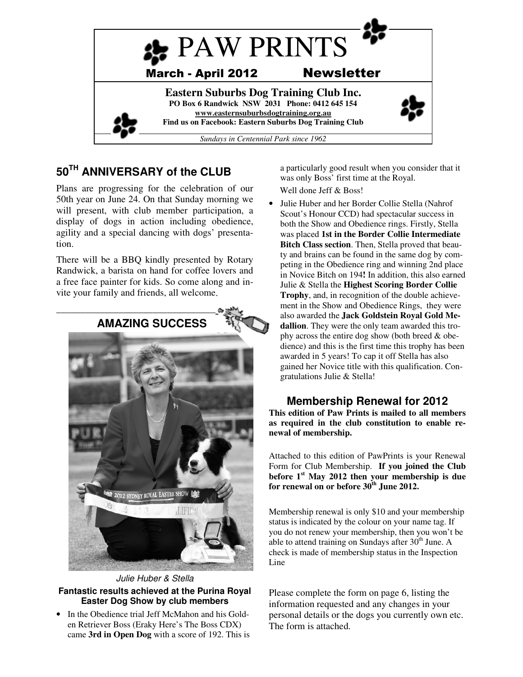

# **50TH ANNIVERSARY of the CLUB**

Plans are progressing for the celebration of our 50th year on June 24. On that Sunday morning we will present, with club member participation, a display of dogs in action including obedience, agility and a special dancing with dogs' presentation.

There will be a BBQ kindly presented by Rotary Randwick, a barista on hand for coffee lovers and a free face painter for kids. So come along and invite your family and friends, all welcome.



Julie Huber & Stella

#### **Fantastic results achieved at the Purina Royal Easter Dog Show by club members**

• In the Obedience trial Jeff McMahon and his Golden Retriever Boss (Eraky Here's The Boss CDX) came **3rd in Open Dog** with a score of 192. This is a particularly good result when you consider that it was only Boss' first time at the Royal.

Well done Jeff & Boss!

• Julie Huber and her Border Collie Stella (Nahrof Scout's Honour CCD) had spectacular success in both the Show and Obedience rings. Firstly, Stella was placed **1st in the Border Collie Intermediate Bitch Class section**. Then, Stella proved that beauty and brains can be found in the same dog by competing in the Obedience ring and winning 2nd place in Novice Bitch on 194**!** In addition, this also earned Julie & Stella the **Highest Scoring Border Collie Trophy**, and, in recognition of the double achievement in the Show and Obedience Rings, they were also awarded the **Jack Goldstein Royal Gold Medallion**. They were the only team awarded this trophy across the entire dog show (both breed & obedience) and this is the first time this trophy has been awarded in 5 years! To cap it off Stella has also gained her Novice title with this qualification. Congratulations Julie & Stella!

# **Membership Renewal for 2012**

**This edition of Paw Prints is mailed to all members as required in the club constitution to enable renewal of membership.** 

Attached to this edition of PawPrints is your Renewal Form for Club Membership. **If you joined the Club before 1st May 2012 then your membership is due for renewal on or before 30th June 2012.** 

Membership renewal is only \$10 and your membership status is indicated by the colour on your name tag. If you do not renew your membership, then you won't be able to attend training on Sundays after  $30<sup>th</sup>$  June. A check is made of membership status in the Inspection Line

Please complete the form on page 6, listing the information requested and any changes in your personal details or the dogs you currently own etc. The form is attached.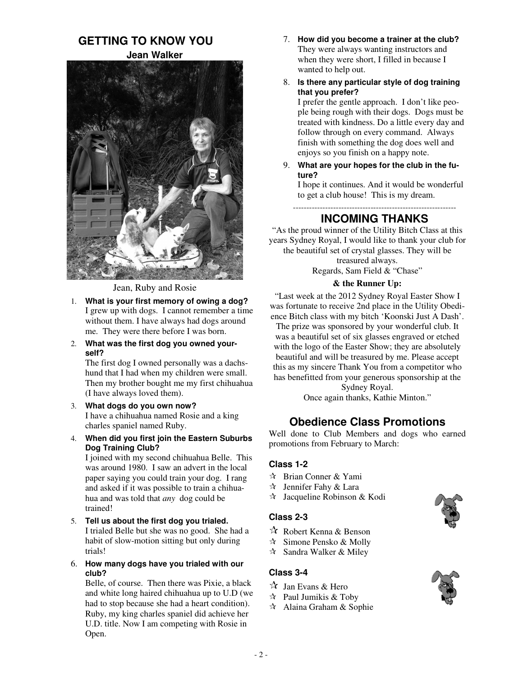# **GETTING TO KNOW YOU Jean Walker**



Jean, Ruby and Rosie

- 1. **What is your first memory of owing a dog?** I grew up with dogs. I cannot remember a time without them. I have always had dogs around me. They were there before I was born.
- 2. **What was the first dog you owned yourself?**

The first dog I owned personally was a dachshund that I had when my children were small. Then my brother bought me my first chihuahua (I have always loved them).

- 3. **What dogs do you own now?**  I have a chihuahua named Rosie and a king charles spaniel named Ruby.
- 4. **When did you first join the Eastern Suburbs Dog Training Club?** I joined with my second chihuahua Belle. This

was around 1980. I saw an advert in the local paper saying you could train your dog. I rang and asked if it was possible to train a chihuahua and was told that *any* dog could be trained!

- 5. **Tell us about the first dog you trialed.**  I trialed Belle but she was no good. She had a habit of slow-motion sitting but only during trials!
- 6. **How many dogs have you trialed with our club?**

Belle, of course. Then there was Pixie, a black and white long haired chihuahua up to U.D (we had to stop because she had a heart condition). Ruby, my king charles spaniel did achieve her U.D. title. Now I am competing with Rosie in Open.

- 7. **How did you become a trainer at the club?**  They were always wanting instructors and when they were short, I filled in because I wanted to help out.
- 8. **Is there any particular style of dog training that you prefer?**

I prefer the gentle approach. I don't like people being rough with their dogs. Dogs must be treated with kindness. Do a little every day and follow through on every command. Always finish with something the dog does well and enjoys so you finish on a happy note.

9. **What are your hopes for the club in the future?** 

I hope it continues. And it would be wonderful to get a club house! This is my dream.

-------------------------------------------------------------

# **INCOMING THANKS**

"As the proud winner of the Utility Bitch Class at this years Sydney Royal, I would like to thank your club for the beautiful set of crystal glasses. They will be

treasured always. Regards, Sam Field & "Chase"

#### **& the Runner Up:**

"Last week at the 2012 Sydney Royal Easter Show I was fortunate to receive 2nd place in the Utility Obedience Bitch class with my bitch 'Koonski Just A Dash'.

The prize was sponsored by your wonderful club. It was a beautiful set of six glasses engraved or etched with the logo of the Easter Show; they are absolutely beautiful and will be treasured by me. Please accept this as my sincere Thank You from a competitor who has benefitted from your generous sponsorship at the

> Sydney Royal. Once again thanks, Kathie Minton."

# **Obedience Class Promotions**

Well done to Club Members and dogs who earned promotions from February to March:

#### **Class 1-2**

- Brian Conner & Yami
- $\star$  Jennifer Fahy & Lara
- $\lambda$  Jacqueline Robinson & Kodi

#### **Class 2-3**

- Robert Kenna & Benson
- Simone Pensko & Molly
- $\star$  Sandra Walker & Miley

#### **Class 3-4**

- $\vec{X}$  Jan Evans & Hero
- Paul Jumikis & Toby
- Alaina Graham & Sophie



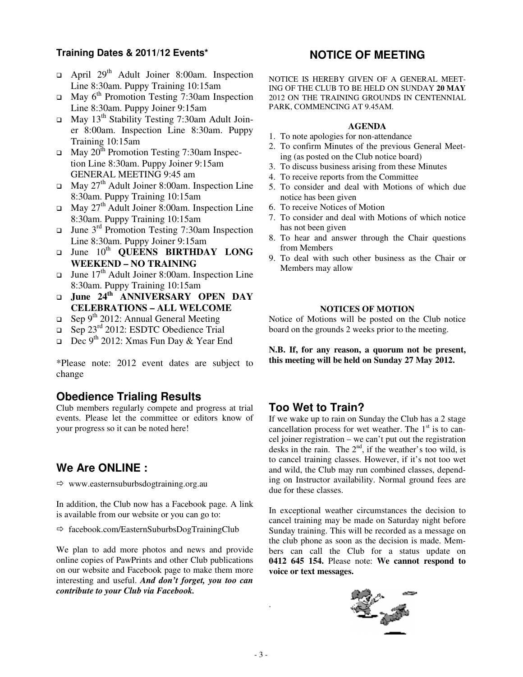#### **Training Dates & 2011/12 Events\***

- □ April 29<sup>th</sup> Adult Joiner 8:00am. Inspection Line 8:30am. Puppy Training 10:15am
- □ May 6<sup>th</sup> Promotion Testing 7:30am Inspection Line 8:30am. Puppy Joiner 9:15am
- □ May 13<sup>th</sup> Stability Testing 7:30am Adult Joiner 8:00am. Inspection Line 8:30am. Puppy Training 10:15am
- $\Box$  May 20<sup>th</sup> Promotion Testing 7:30am Inspection Line 8:30am. Puppy Joiner 9:15am GENERAL MEETING 9:45 am
- □ May 27<sup>th</sup> Adult Joiner 8:00am. Inspection Line 8:30am. Puppy Training 10:15am
- □ May 27<sup>th</sup> Adult Joiner 8:00am. Inspection Line 8:30am. Puppy Training 10:15am
- □ June 3<sup>rd</sup> Promotion Testing 7:30am Inspection Line 8:30am. Puppy Joiner 9:15am
- $\Box$ June 10<sup>th</sup> **QUEENS BIRTHDAY LONG WEEKEND – NO TRAINING**
- □ June  $17<sup>th</sup>$  Adult Joiner 8:00am. Inspection Line 8:30am. Puppy Training 10:15am
- **June 24th ANNIVERSARY OPEN DAY CELEBRATIONS – ALL WELCOME**
- □ Sep 9<sup>th</sup> 2012: Annual General Meeting
- □ Sep 23<sup>rd</sup> 2012: ESDTC Obedience Trial
- Dec 9th 2012: Xmas Fun Day & Year End

\*Please note: 2012 event dates are subject to change

#### **Obedience Trialing Results**

Club members regularly compete and progress at trial events. Please let the committee or editors know of your progress so it can be noted here!

# **We Are ONLINE :**

 $\Rightarrow$  www.easternsuburbsdogtraining.org.au

In addition, the Club now has a Facebook page. A link is available from our website or you can go to:

 $\Rightarrow$  facebook.com/EasternSuburbsDogTrainingClub

We plan to add more photos and news and provide online copies of PawPrints and other Club publications on our website and Facebook page to make them more interesting and useful. *And don't forget, you too can contribute to your Club via Facebook.* 

### **NOTICE OF MEETING**

NOTICE IS HEREBY GIVEN OF A GENERAL MEET-ING OF THE CLUB TO BE HELD ON SUNDAY **20 MAY** 2012 ON THE TRAINING GROUNDS IN CENTENNIAL PARK, COMMENCING AT 9.45AM.

#### **AGENDA**

- 1. To note apologies for non-attendance
- 2. To confirm Minutes of the previous General Meeting (as posted on the Club notice board)
- 3. To discuss business arising from these Minutes
- 4. To receive reports from the Committee
- 5. To consider and deal with Motions of which due notice has been given
- 6. To receive Notices of Motion
- 7. To consider and deal with Motions of which notice has not been given
- 8. To hear and answer through the Chair questions from Members
- 9. To deal with such other business as the Chair or Members may allow

#### **NOTICES OF MOTION**

Notice of Motions will be posted on the Club notice board on the grounds 2 weeks prior to the meeting.

**N.B. If, for any reason, a quorum not be present, this meeting will be held on Sunday 27 May 2012.**

# **Too Wet to Train?**

If we wake up to rain on Sunday the Club has a 2 stage cancellation process for wet weather. The  $1<sup>st</sup>$  is to cancel joiner registration – we can't put out the registration desks in the rain. The  $2<sup>nd</sup>$ , if the weather's too wild, is to cancel training classes. However, if it's not too wet and wild, the Club may run combined classes, depending on Instructor availability. Normal ground fees are due for these classes.

In exceptional weather circumstances the decision to cancel training may be made on Saturday night before Sunday training. This will be recorded as a message on the club phone as soon as the decision is made. Members can call the Club for a status update on **0412 645 154.** Please note: **We cannot respond to voice or text messages.**



.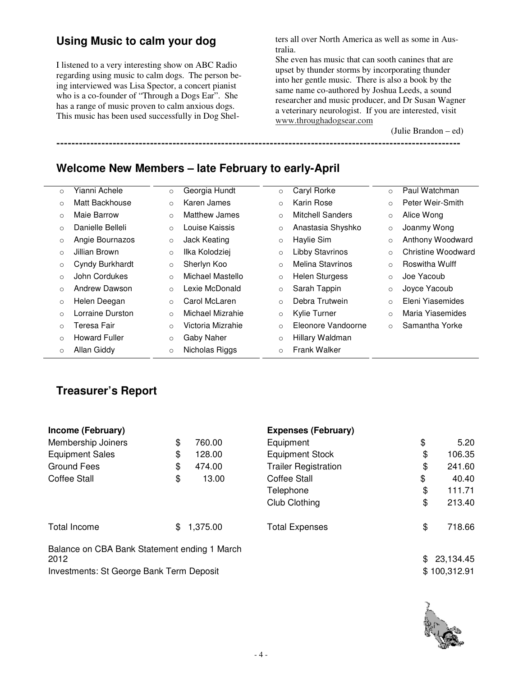# **Using Music to calm your dog**

I listened to a very interesting show on ABC Radio regarding using music to calm dogs. The person being interviewed was Lisa Spector, a concert pianist who is a co-founder of "Through a Dogs Ear". She has a range of music proven to calm anxious dogs. This music has been used successfully in Dog Shelters all over North America as well as some in Australia.

She even has music that can sooth canines that are upset by thunder storms by incorporating thunder into her gentle music. There is also a book by the same name co-authored by Joshua Leeds, a sound researcher and music producer, and Dr Susan Wagner a veterinary neurologist. If you are interested, visit www.throughadogsear.com

**------------------------------------------------------------------------------------------------------------**

(Julie Brandon – ed)

**Welcome New Members – late February to early-April** 

| $\circ$ | Yianni Achele        | $\circ$ | Georgia Hundt     | $\circ$  | Caryl Rorke             | $\circ$  | Paul Watchman      |
|---------|----------------------|---------|-------------------|----------|-------------------------|----------|--------------------|
| $\circ$ | Matt Backhouse       | $\circ$ | Karen James       | $\circ$  | Karin Rose              | $\circ$  | Peter Weir-Smith   |
| $\circ$ | Maie Barrow          | $\circ$ | Matthew James     | $\circ$  | Mitchell Sanders        | $\circ$  | Alice Wong         |
| $\circ$ | Danielle Belleli     | $\circ$ | Louise Kaissis    | $\circ$  | Anastasia Shyshko       | $\circ$  | Joanmy Wong        |
| $\circ$ | Angie Bournazos      | $\circ$ | Jack Keating      | $\circ$  | Haylie Sim              | $\circ$  | Anthony Woodward   |
| $\circ$ | Jillian Brown        | $\circ$ | Ilka Kolodziej    | $\circ$  | <b>Libby Stavrinos</b>  | $\circ$  | Christine Woodward |
| $\circ$ | Cyndy Burkhardt      | $\circ$ | Sherlyn Koo       | $\Omega$ | <b>Melina Stavrinos</b> | $\circ$  | Roswitha Wulff     |
| $\circ$ | John Cordukes        | $\circ$ | Michael Mastello  | O        | <b>Helen Sturgess</b>   | $\circ$  | Joe Yacoub         |
| $\circ$ | Andrew Dawson        | $\circ$ | Lexie McDonald    | $\circ$  | Sarah Tappin            | $\circ$  | Joyce Yacoub       |
| $\circ$ | Helen Deegan         | $\circ$ | Carol McLaren     | $\Omega$ | Debra Trutwein          | $\circ$  | Eleni Yiasemides   |
| $\circ$ | Lorraine Durston     | $\circ$ | Michael Mizrahie  | $\circ$  | Kylie Turner            | $\Omega$ | Maria Yiasemides   |
| $\circ$ | Teresa Fair          | $\circ$ | Victoria Mizrahie | $\circ$  | Eleonore Vandoorne      | $\Omega$ | Samantha Yorke     |
| $\circ$ | <b>Howard Fuller</b> | $\circ$ | Gaby Naher        | $\circ$  | Hillary Waldman         |          |                    |
| $\circ$ | Allan Giddy          | $\circ$ | Nicholas Riggs    | $\circ$  | <b>Frank Walker</b>     |          |                    |
|         |                      |         |                   |          |                         |          |                    |

# **Treasurer's Report**

| Income (February)                                        |     |          | <b>Expenses (February)</b>  |    |             |
|----------------------------------------------------------|-----|----------|-----------------------------|----|-------------|
| Membership Joiners                                       | \$  | 760.00   | Equipment                   | \$ | 5.20        |
| <b>Equipment Sales</b>                                   | \$  | 128.00   | <b>Equipment Stock</b>      | \$ | 106.35      |
| Ground Fees                                              | \$  | 474.00   | <b>Trailer Registration</b> | \$ | 241.60      |
| <b>Coffee Stall</b>                                      | \$  | 13.00    | <b>Coffee Stall</b>         | \$ | 40.40       |
|                                                          |     |          | Telephone                   | \$ | 111.71      |
|                                                          |     |          | Club Clothing               | \$ | 213.40      |
| Total Income                                             | \$. | 1,375.00 | <b>Total Expenses</b>       | \$ | 718.66      |
| Balance on CBA Bank Statement ending 1 March             |     |          |                             |    |             |
| 2012                                                     |     |          |                             |    | \$23,134.45 |
| \$100,312.91<br>Investments: St George Bank Term Deposit |     |          |                             |    |             |

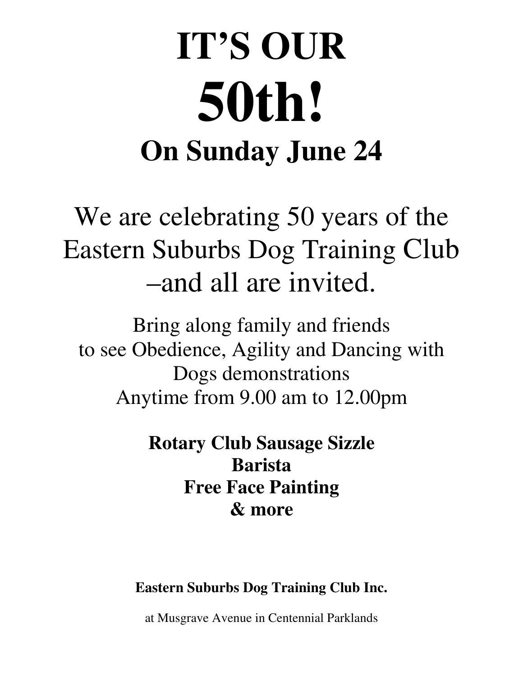# **IT'S OUR 50th! On Sunday June 24**

# We are celebrating 50 years of the Eastern Suburbs Dog Training Club –and all are invited.

Bring along family and friends to see Obedience, Agility and Dancing with Dogs demonstrations Anytime from 9.00 am to 12.00pm

> **Rotary Club Sausage Sizzle Barista Free Face Painting & more**

**Eastern Suburbs Dog Training Club Inc.** 

at Musgrave Avenue in Centennial Parklands